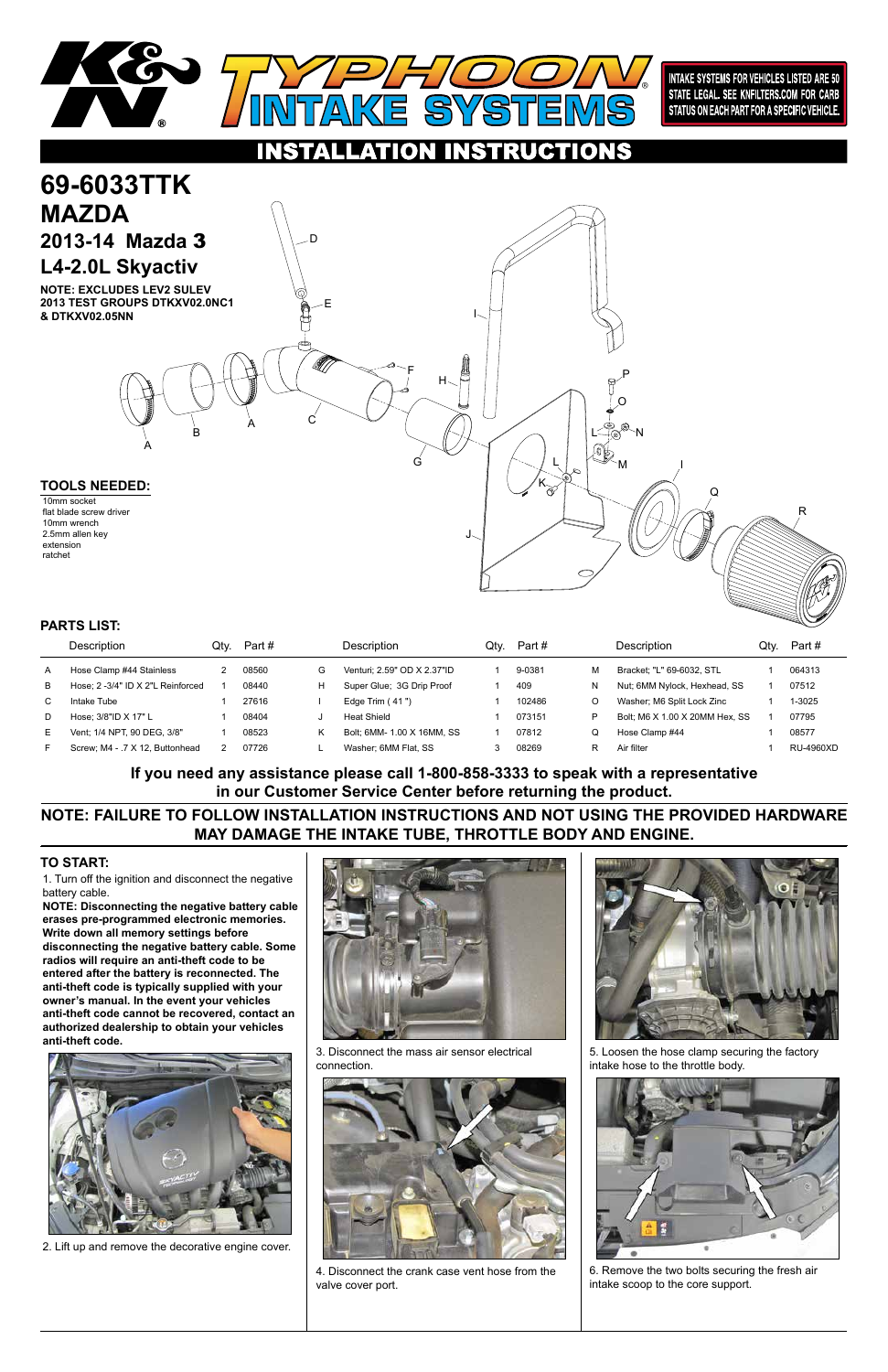1. Turn off the ignition and disconnect the negative battery cable.

**NOTE: Disconnecting the negative battery cable erases pre-programmed electronic memories. Write down all memory settings before disconnecting the negative battery cable. Some radios will require an anti-theft code to be entered after the battery is reconnected. The anti-theft code is typically supplied with your owner's manual. In the event your vehicles anti-theft code cannot be recovered, contact an authorized dealership to obtain your vehicles anti-theft code.**







## **TO START:**



**INTAKE SYSTEMS FOR VEHICLES LISTED ARE 50** STATE LEGAL. SEE KNFILTERS.COM FOR CARB STATUS ON EACH PART FOR A SPECIFIC VEHICLE.

### NSTRUCTIONS O



|    | Description                       | Qtv. | Part # |   | <b>Description</b>          | Qtv. | Part # |   | Description                    | Qtv. | Part #    |
|----|-----------------------------------|------|--------|---|-----------------------------|------|--------|---|--------------------------------|------|-----------|
| A  | Hose Clamp #44 Stainless          |      | 08560  | G | Venturi: 2.59" OD X 2.37"ID |      | 9-0381 | м | Bracket: "L" 69-6032, STL      |      | 064313    |
| в  | Hose: 2 -3/4" ID X 2"L Reinforced |      | 08440  | н | Super Glue: 3G Drip Proof   |      | 409    | N | Nut; 6MM Nylock, Hexhead, SS   |      | 07512     |
| C. | Intake Tube                       |      | 27616  |   | Edge Trim $(41")$           |      | 102486 | O | Washer; M6 Split Lock Zinc     |      | 1-3025    |
| D  | Hose: $3/8"$ ID X 17" L           |      | 08404  |   | Heat Shield                 |      | 073151 | P | Bolt; M6 X 1.00 X 20MM Hex, SS |      | 07795     |
| E. | Vent: 1/4 NPT. 90 DEG. 3/8"       |      | 08523  |   | Bolt, 6MM- 1.00 X 16MM, SS  |      | 07812  | Q | Hose Clamp #44                 |      | 08577     |
| F  | Screw: M4 - .7 X 12. Buttonhead   |      | 07726  |   | Washer: 6MM Flat. SS        |      | 08269  | R | Air filter                     |      | RU-4960XD |

### **PARTS LIST:**

2. Lift up and remove the decorative engine cover.

3. Disconnect the mass air sensor electrical connection.



4. Disconnect the crank case vent hose from the valve cover port.



5. Loosen the hose clamp securing the factory intake hose to the throttle body.



6. Remove the two bolts securing the fresh air intake scoop to the core support.

**NOTE: FAILURE TO FOLLOW INSTALLATION INSTRUCTIONS AND NOT USING THE PROVIDED HARDWARE MAY DAMAGE THE INTAKE TUBE, THROTTLE BODY AND ENGINE.**

**If you need any assistance please call 1-800-858-3333 to speak with a representative in our Customer Service Center before returning the product.**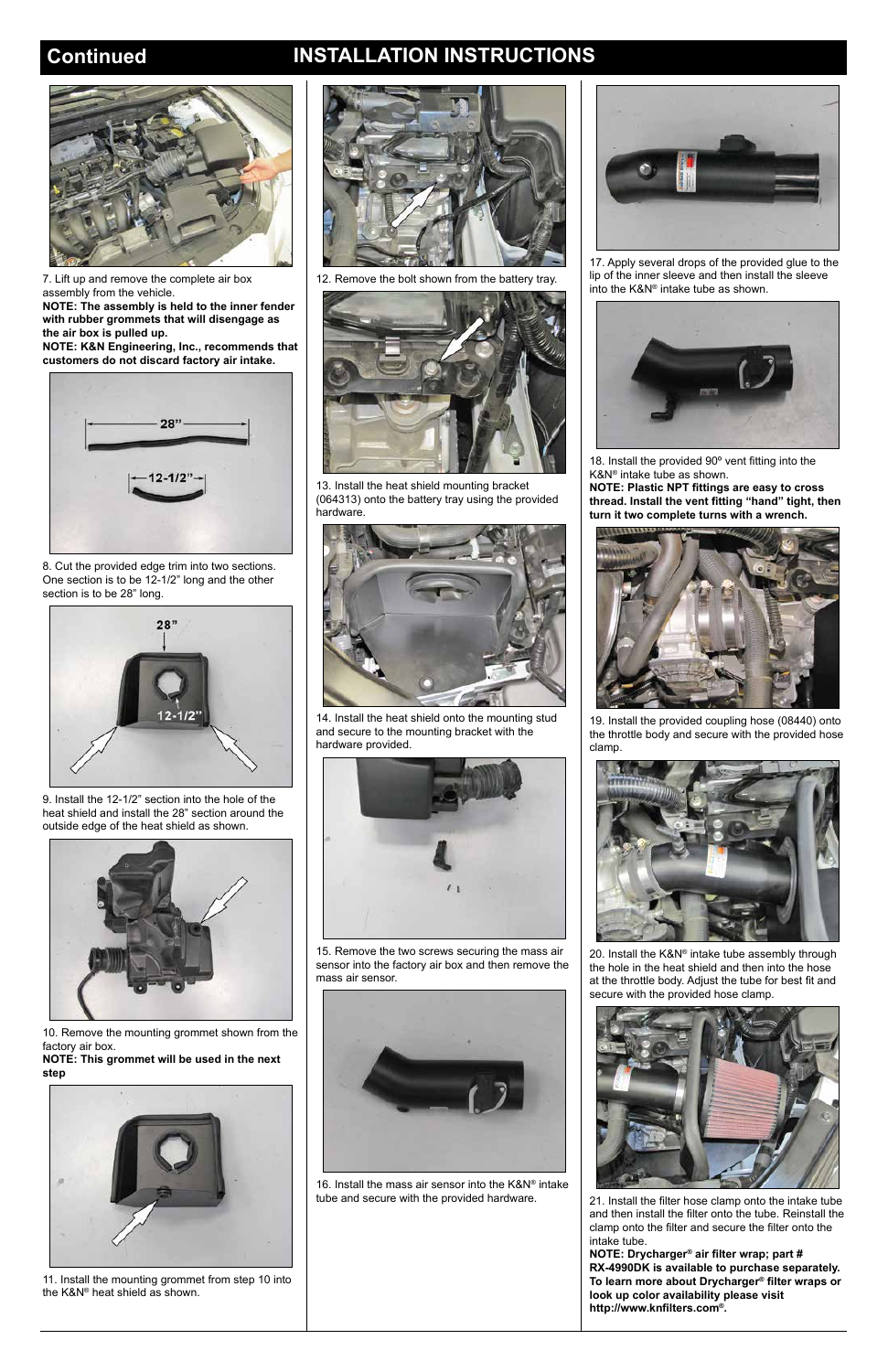## **Continued INSTALLATION INSTRUCTIONS**



7. Lift up and remove the complete air box assembly from the vehicle.

**NOTE: The assembly is held to the inner fender with rubber grommets that will disengage as the air box is pulled up.**

**NOTE: K&N Engineering, Inc., recommends that customers do not discard factory air intake.**



8. Cut the provided edge trim into two sections. One section is to be 12-1/2" long and the other section is to be 28" long.



9. Install the 12-1/2" section into the hole of the heat shield and install the 28" section around the outside edge of the heat shield as shown.



10. Remove the mounting grommet shown from the factory air box.

**NOTE: This grommet will be used in the next step**



11. Install the mounting grommet from step 10 into the K&N® heat shield as shown.





12. Remove the bolt shown from the battery tray.



13. Install the heat shield mounting bracket (064313) onto the battery tray using the provided hardware.



14. Install the heat shield onto the mounting stud and secure to the mounting bracket with the hardware provided.



15. Remove the two screws securing the mass air sensor into the factory air box and then remove the mass air sensor.

16. Install the mass air sensor into the K&N® intake tube and secure with the provided hardware.





17. Apply several drops of the provided glue to the lip of the inner sleeve and then install the sleeve into the K&N® intake tube as shown.



18. Install the provided 90º vent fitting into the K&N® intake tube as shown.

**NOTE: Plastic NPT fittings are easy to cross thread. Install the vent fitting "hand" tight, then turn it two complete turns with a wrench.**



19. Install the provided coupling hose (08440) onto the throttle body and secure with the provided hose clamp.



20. Install the K&N® intake tube assembly through the hole in the heat shield and then into the hose at the throttle body. Adjust the tube for best fit and secure with the provided hose clamp.

21. Install the filter hose clamp onto the intake tube and then install the filter onto the tube. Reinstall the clamp onto the filter and secure the filter onto the intake tube.

**NOTE: Drycharger® air filter wrap; part # RX-4990DK is available to purchase separately. To learn more about Drycharger® filter wraps or look up color availability please visit http://www.knfilters.com®.**